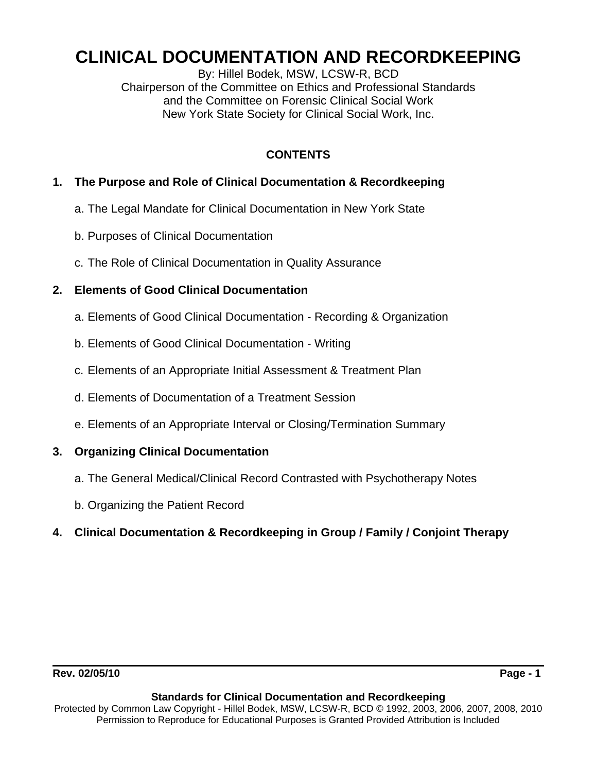# **CLINICAL DOCUMENTATION AND RECORDKEEPING**

By: Hillel Bodek, MSW, LCSW-R, BCD Chairperson of the Committee on Ethics and Professional Standards and the Committee on Forensic Clinical Social Work New York State Society for Clinical Social Work, Inc.

# **CONTENTS**

# **1. The Purpose and Role of Clinical Documentation & Recordkeeping**

- a. The Legal Mandate for Clinical Documentation in New York State
- b. Purposes of Clinical Documentation
- c. The Role of Clinical Documentation in Quality Assurance

# **2. Elements of Good Clinical Documentation**

- a. Elements of Good Clinical Documentation Recording & Organization
- b. Elements of Good Clinical Documentation Writing
- c. Elements of an Appropriate Initial Assessment & Treatment Plan
- d. Elements of Documentation of a Treatment Session
- e. Elements of an Appropriate Interval or Closing/Termination Summary

# **3. Organizing Clinical Documentation**

- a. The General Medical/Clinical Record Contrasted with Psychotherapy Notes
- b. Organizing the Patient Record
- **4. Clinical Documentation & Recordkeeping in Group / Family / Conjoint Therapy**

### **Standards for Clinical Documentation and Recordkeeping**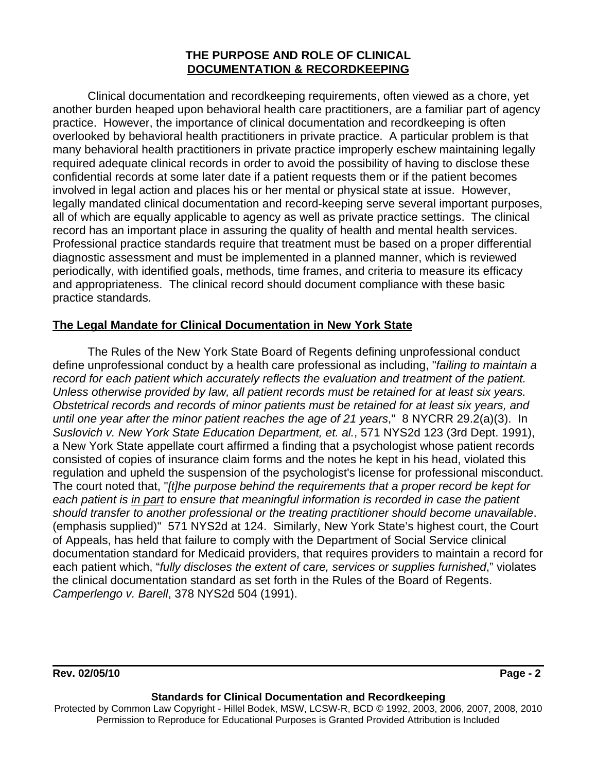# **THE PURPOSE AND ROLE OF CLINICAL DOCUMENTATION & RECORDKEEPING**

Clinical documentation and recordkeeping requirements, often viewed as a chore, yet another burden heaped upon behavioral health care practitioners, are a familiar part of agency practice. However, the importance of clinical documentation and recordkeeping is often overlooked by behavioral health practitioners in private practice. A particular problem is that many behavioral health practitioners in private practice improperly eschew maintaining legally required adequate clinical records in order to avoid the possibility of having to disclose these confidential records at some later date if a patient requests them or if the patient becomes involved in legal action and places his or her mental or physical state at issue. However, legally mandated clinical documentation and record-keeping serve several important purposes, all of which are equally applicable to agency as well as private practice settings. The clinical record has an important place in assuring the quality of health and mental health services. Professional practice standards require that treatment must be based on a proper differential diagnostic assessment and must be implemented in a planned manner, which is reviewed periodically, with identified goals, methods, time frames, and criteria to measure its efficacy and appropriateness. The clinical record should document compliance with these basic practice standards.

# **The Legal Mandate for Clinical Documentation in New York State**

The Rules of the New York State Board of Regents defining unprofessional conduct define unprofessional conduct by a health care professional as including, "*failing to maintain a record for each patient which accurately reflects the evaluation and treatment of the patient. Unless otherwise provided by law, all patient records must be retained for at least six years. Obstetrical records and records of minor patients must be retained for at least six years, and until one year after the minor patient reaches the age of 21 years*," 8 NYCRR 29.2(a)(3). In *Suslovich v. New York State Education Department, et. al.*, 571 NYS2d 123 (3rd Dept. 1991), a New York State appellate court affirmed a finding that a psychologist whose patient records consisted of copies of insurance claim forms and the notes he kept in his head, violated this regulation and upheld the suspension of the psychologist's license for professional misconduct. The court noted that, "*[t]he purpose behind the requirements that a proper record be kept for each patient is in part to ensure that meaningful information is recorded in case the patient should transfer to another professional or the treating practitioner should become unavailable*. (emphasis supplied)" 571 NYS2d at 124. Similarly, New York State's highest court, the Court of Appeals, has held that failure to comply with the Department of Social Service clinical documentation standard for Medicaid providers, that requires providers to maintain a record for each patient which, "*fully discloses the extent of care, services or supplies furnished*," violates the clinical documentation standard as set forth in the Rules of the Board of Regents. *Camperlengo v. Barell*, 378 NYS2d 504 (1991).

### **Rev. 02/05/10 Page - 2 Page - 2 Page - 2 Page - 2**

#### **Standards for Clinical Documentation and Recordkeeping**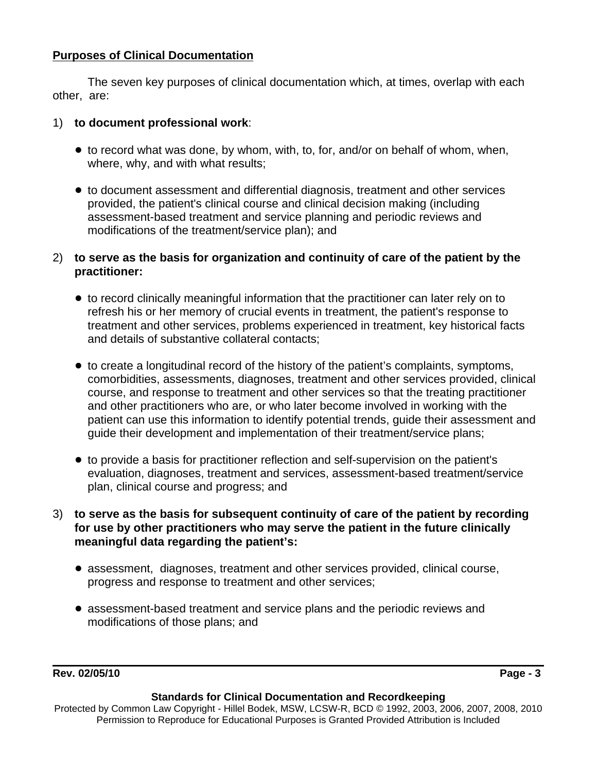# **Purposes of Clinical Documentation**

The seven key purposes of clinical documentation which, at times, overlap with each other, are:

## 1) **to document professional work**:

- ! to record what was done, by whom, with, to, for, and/or on behalf of whom, when, where, why, and with what results;
- ! to document assessment and differential diagnosis, treatment and other services provided, the patient's clinical course and clinical decision making (including assessment-based treatment and service planning and periodic reviews and modifications of the treatment/service plan); and

# 2) **to serve as the basis for organization and continuity of care of the patient by the practitioner:**

- to record clinically meaningful information that the practitioner can later rely on to refresh his or her memory of crucial events in treatment, the patient's response to treatment and other services, problems experienced in treatment, key historical facts and details of substantive collateral contacts;
- to create a longitudinal record of the history of the patient's complaints, symptoms, comorbidities, assessments, diagnoses, treatment and other services provided, clinical course, and response to treatment and other services so that the treating practitioner and other practitioners who are, or who later become involved in working with the patient can use this information to identify potential trends, guide their assessment and guide their development and implementation of their treatment/service plans;
- to provide a basis for practitioner reflection and self-supervision on the patient's evaluation, diagnoses, treatment and services, assessment-based treatment/service plan, clinical course and progress; and
- 3) **to serve as the basis for subsequent continuity of care of the patient by recording for use by other practitioners who may serve the patient in the future clinically meaningful data regarding the patient's:**
	- ! assessment, diagnoses, treatment and other services provided, clinical course, progress and response to treatment and other services;
	- ! assessment-based treatment and service plans and the periodic reviews and modifications of those plans; and

### **Standards for Clinical Documentation and Recordkeeping**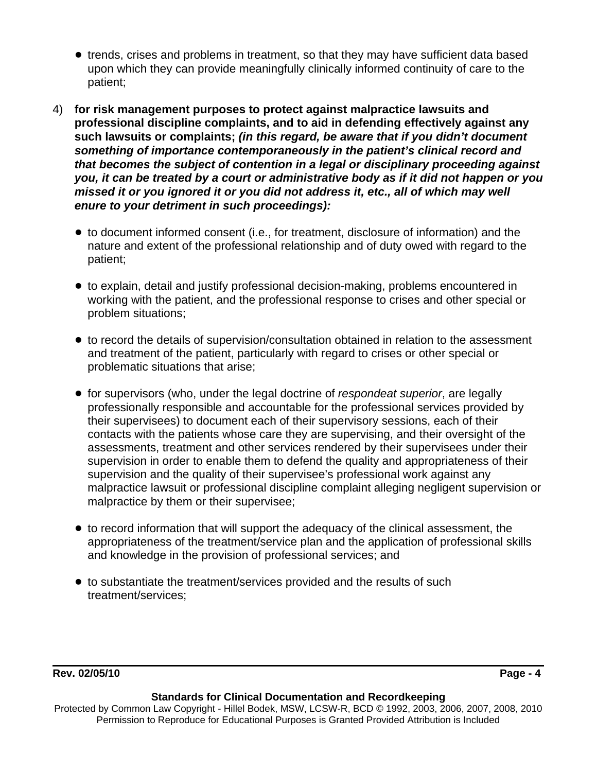- trends, crises and problems in treatment, so that they may have sufficient data based upon which they can provide meaningfully clinically informed continuity of care to the patient;
- 4) **for risk management purposes to protect against malpractice lawsuits and professional discipline complaints, and to aid in defending effectively against any such lawsuits or complaints;** *(in this regard, be aware that if you didn't document something of importance contemporaneously in the patient's clinical record and that becomes the subject of contention in a legal or disciplinary proceeding against you, it can be treated by a court or administrative body as if it did not happen or you missed it or you ignored it or you did not address it, etc., all of which may well enure to your detriment in such proceedings):*
	- to document informed consent (i.e., for treatment, disclosure of information) and the nature and extent of the professional relationship and of duty owed with regard to the patient;
	- to explain, detail and justify professional decision-making, problems encountered in working with the patient, and the professional response to crises and other special or problem situations;
	- to record the details of supervision/consultation obtained in relation to the assessment and treatment of the patient, particularly with regard to crises or other special or problematic situations that arise;
	- ! for supervisors (who, under the legal doctrine of *respondeat superior*, are legally professionally responsible and accountable for the professional services provided by their supervisees) to document each of their supervisory sessions, each of their contacts with the patients whose care they are supervising, and their oversight of the assessments, treatment and other services rendered by their supervisees under their supervision in order to enable them to defend the quality and appropriateness of their supervision and the quality of their supervisee's professional work against any malpractice lawsuit or professional discipline complaint alleging negligent supervision or malpractice by them or their supervisee;
	- to record information that will support the adequacy of the clinical assessment, the appropriateness of the treatment/service plan and the application of professional skills and knowledge in the provision of professional services; and
	- to substantiate the treatment/services provided and the results of such treatment/services;

# **Rev. 02/05/10 Page - 4**

### **Standards for Clinical Documentation and Recordkeeping**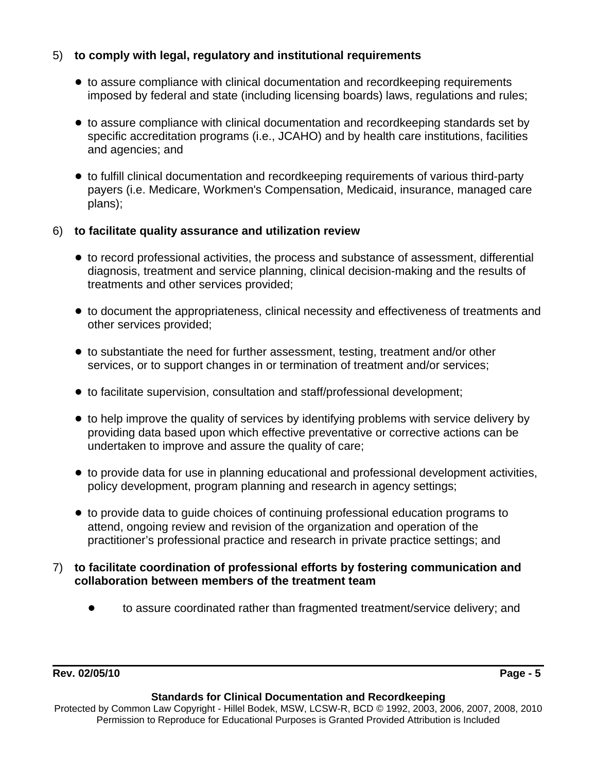# 5) **to comply with legal, regulatory and institutional requirements**

- to assure compliance with clinical documentation and recordkeeping requirements imposed by federal and state (including licensing boards) laws, regulations and rules;
- ! to assure compliance with clinical documentation and recordkeeping standards set by specific accreditation programs (i.e., JCAHO) and by health care institutions, facilities and agencies; and
- ! to fulfill clinical documentation and recordkeeping requirements of various third-party payers (i.e. Medicare, Workmen's Compensation, Medicaid, insurance, managed care plans);

# 6) **to facilitate quality assurance and utilization review**

- ! to record professional activities, the process and substance of assessment, differential diagnosis, treatment and service planning, clinical decision-making and the results of treatments and other services provided;
- ! to document the appropriateness, clinical necessity and effectiveness of treatments and other services provided;
- to substantiate the need for further assessment, testing, treatment and/or other services, or to support changes in or termination of treatment and/or services;
- ! to facilitate supervision, consultation and staff/professional development;
- to help improve the quality of services by identifying problems with service delivery by providing data based upon which effective preventative or corrective actions can be undertaken to improve and assure the quality of care;
- ! to provide data for use in planning educational and professional development activities, policy development, program planning and research in agency settings;
- ! to provide data to guide choices of continuing professional education programs to attend, ongoing review and revision of the organization and operation of the practitioner's professional practice and research in private practice settings; and
- 7) **to facilitate coordination of professional efforts by fostering communication and collaboration between members of the treatment team**
	- ! to assure coordinated rather than fragmented treatment/service delivery; and

### **Standards for Clinical Documentation and Recordkeeping**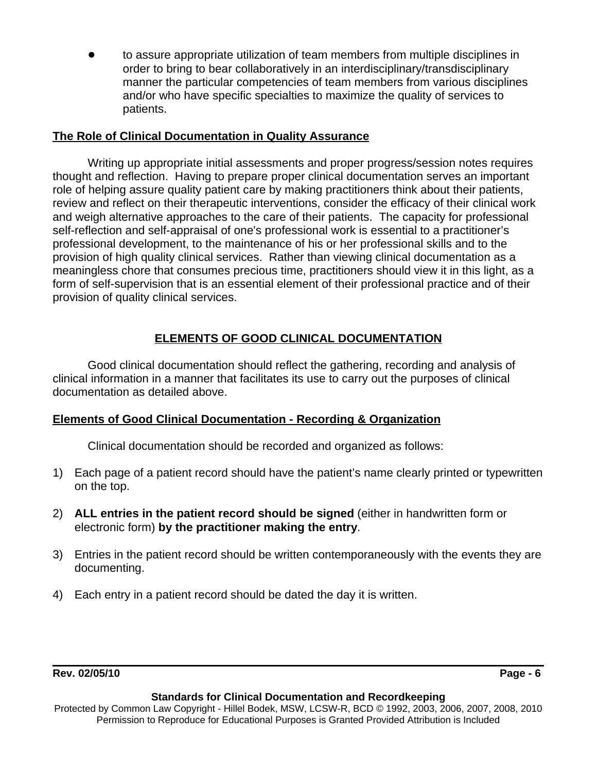to assure appropriate utilization of team members from multiple disciplines in order to bring to bear collaboratively in an interdisciplinary/transdisciplinary manner the particular competencies of team members from various disciplines and/or who have specific specialties to maximize the quality of services to patients.

# **The Role of Clinical Documentation in Quality Assurance**

Writing up appropriate initial assessments and proper progress/session notes requires thought and reflection. Having to prepare proper clinical documentation serves an important role of helping assure quality patient care by making practitioners think about their patients, review and reflect on their therapeutic interventions, consider the efficacy of their clinical work and weigh alternative approaches to the care of their patients. The capacity for professional self-reflection and self-appraisal of one's professional work is essential to a practitioner's professional development, to the maintenance of his or her professional skills and to the provision of high quality clinical services. Rather than viewing clinical documentation as a meaningless chore that consumes precious time, practitioners should view it in this light, as a form of self-supervision that is an essential element of their professional practice and of their provision of quality clinical services.

# **ELEMENTS OF GOOD CLINICAL DOCUMENTATION**

Good clinical documentation should reflect the gathering, recording and analysis of clinical information in a manner that facilitates its use to carry out the purposes of clinical documentation as detailed above.

# **Elements of Good Clinical Documentation - Recording & Organization**

Clinical documentation should be recorded and organized as follows:

- 1) Each page of a patient record should have the patient's name clearly printed or typewritten on the top.
- 2) **ALL entries in the patient record should be signed** (either in handwritten form or electronic form) **by the practitioner making the entry**.
- 3) Entries in the patient record should be written contemporaneously with the events they are documenting.
- 4) Each entry in a patient record should be dated the day it is written.

# **Rev. 02/05/10 Page - 6**

#### **Standards for Clinical Documentation and Recordkeeping**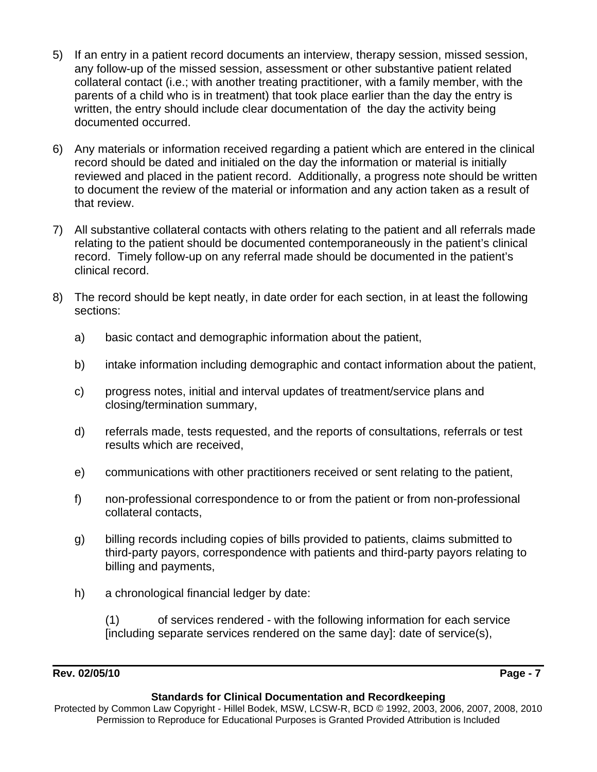- 5) If an entry in a patient record documents an interview, therapy session, missed session, any follow-up of the missed session, assessment or other substantive patient related collateral contact (i.e.; with another treating practitioner, with a family member, with the parents of a child who is in treatment) that took place earlier than the day the entry is written, the entry should include clear documentation of the day the activity being documented occurred.
- 6) Any materials or information received regarding a patient which are entered in the clinical record should be dated and initialed on the day the information or material is initially reviewed and placed in the patient record. Additionally, a progress note should be written to document the review of the material or information and any action taken as a result of that review.
- 7) All substantive collateral contacts with others relating to the patient and all referrals made relating to the patient should be documented contemporaneously in the patient's clinical record. Timely follow-up on any referral made should be documented in the patient's clinical record.
- 8) The record should be kept neatly, in date order for each section, in at least the following sections:
	- a) basic contact and demographic information about the patient,
	- b) intake information including demographic and contact information about the patient,
	- c) progress notes, initial and interval updates of treatment/service plans and closing/termination summary,
	- d) referrals made, tests requested, and the reports of consultations, referrals or test results which are received,
	- e) communications with other practitioners received or sent relating to the patient,
	- f) non-professional correspondence to or from the patient or from non-professional collateral contacts,
	- g) billing records including copies of bills provided to patients, claims submitted to third-party payors, correspondence with patients and third-party payors relating to billing and payments,
	- h) a chronological financial ledger by date:

(1) of services rendered - with the following information for each service [including separate services rendered on the same day]: date of service(s),

## **Rev. 02/05/10 Page - 7**

#### **Standards for Clinical Documentation and Recordkeeping**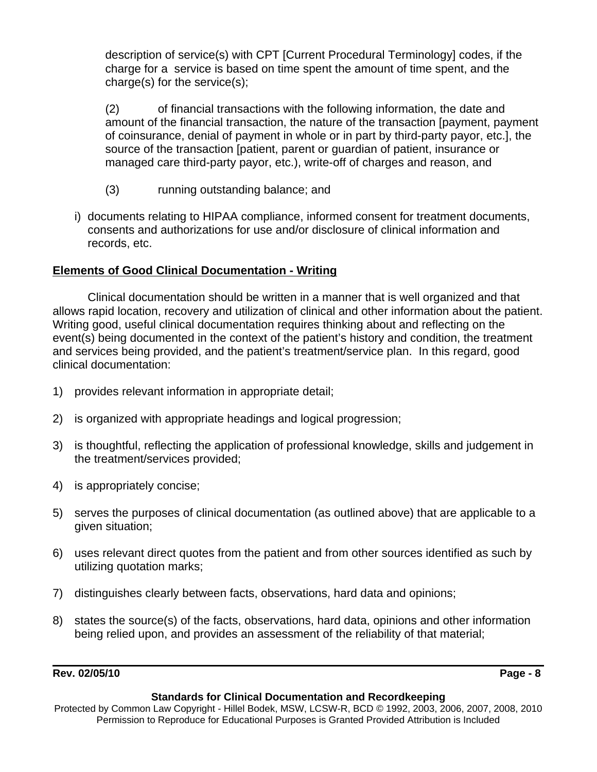description of service(s) with CPT [Current Procedural Terminology] codes, if the charge for a service is based on time spent the amount of time spent, and the charge(s) for the service(s);

(2) of financial transactions with the following information, the date and amount of the financial transaction, the nature of the transaction [payment, payment of coinsurance, denial of payment in whole or in part by third-party payor, etc.], the source of the transaction [patient, parent or guardian of patient, insurance or managed care third-party payor, etc.), write-off of charges and reason, and

- (3) running outstanding balance; and
- i) documents relating to HIPAA compliance, informed consent for treatment documents, consents and authorizations for use and/or disclosure of clinical information and records, etc.

# **Elements of Good Clinical Documentation - Writing**

Clinical documentation should be written in a manner that is well organized and that allows rapid location, recovery and utilization of clinical and other information about the patient. Writing good, useful clinical documentation requires thinking about and reflecting on the event(s) being documented in the context of the patient's history and condition, the treatment and services being provided, and the patient's treatment/service plan. In this regard, good clinical documentation:

- 1) provides relevant information in appropriate detail;
- 2) is organized with appropriate headings and logical progression;
- 3) is thoughtful, reflecting the application of professional knowledge, skills and judgement in the treatment/services provided;
- 4) is appropriately concise;
- 5) serves the purposes of clinical documentation (as outlined above) that are applicable to a given situation;
- 6) uses relevant direct quotes from the patient and from other sources identified as such by utilizing quotation marks;
- 7) distinguishes clearly between facts, observations, hard data and opinions;
- 8) states the source(s) of the facts, observations, hard data, opinions and other information being relied upon, and provides an assessment of the reliability of that material;

# **Rev. 02/05/10 Page - 8**

### **Standards for Clinical Documentation and Recordkeeping**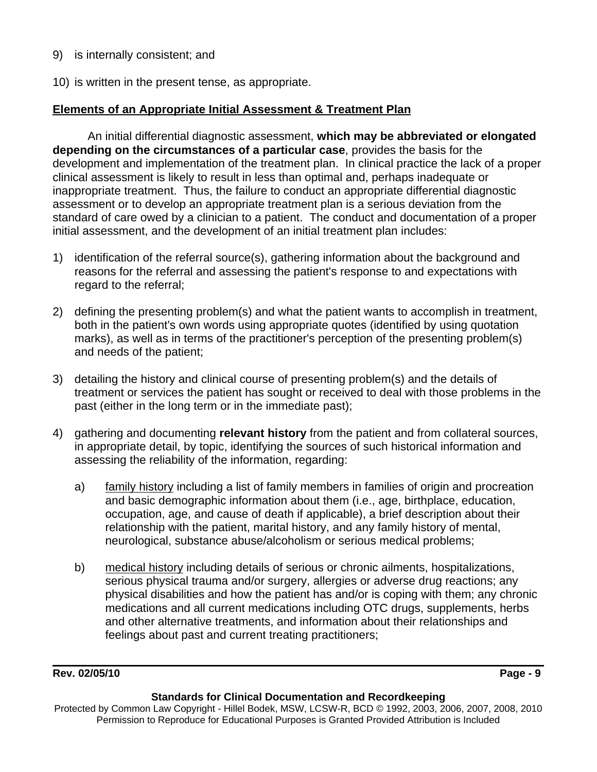- 9) is internally consistent; and
- 10) is written in the present tense, as appropriate.

## **Elements of an Appropriate Initial Assessment & Treatment Plan**

An initial differential diagnostic assessment, **which may be abbreviated or elongated depending on the circumstances of a particular case**, provides the basis for the development and implementation of the treatment plan. In clinical practice the lack of a proper clinical assessment is likely to result in less than optimal and, perhaps inadequate or inappropriate treatment. Thus, the failure to conduct an appropriate differential diagnostic assessment or to develop an appropriate treatment plan is a serious deviation from the standard of care owed by a clinician to a patient. The conduct and documentation of a proper initial assessment, and the development of an initial treatment plan includes:

- 1) identification of the referral source(s), gathering information about the background and reasons for the referral and assessing the patient's response to and expectations with regard to the referral;
- 2) defining the presenting problem(s) and what the patient wants to accomplish in treatment, both in the patient's own words using appropriate quotes (identified by using quotation marks), as well as in terms of the practitioner's perception of the presenting problem(s) and needs of the patient;
- 3) detailing the history and clinical course of presenting problem(s) and the details of treatment or services the patient has sought or received to deal with those problems in the past (either in the long term or in the immediate past);
- 4) gathering and documenting **relevant history** from the patient and from collateral sources, in appropriate detail, by topic, identifying the sources of such historical information and assessing the reliability of the information, regarding:
	- a) family history including a list of family members in families of origin and procreation and basic demographic information about them (i.e., age, birthplace, education, occupation, age, and cause of death if applicable), a brief description about their relationship with the patient, marital history, and any family history of mental, neurological, substance abuse/alcoholism or serious medical problems;
	- b) medical history including details of serious or chronic ailments, hospitalizations, serious physical trauma and/or surgery, allergies or adverse drug reactions; any physical disabilities and how the patient has and/or is coping with them; any chronic medications and all current medications including OTC drugs, supplements, herbs and other alternative treatments, and information about their relationships and feelings about past and current treating practitioners;

# **Rev. 02/05/10** Page - 9

#### **Standards for Clinical Documentation and Recordkeeping**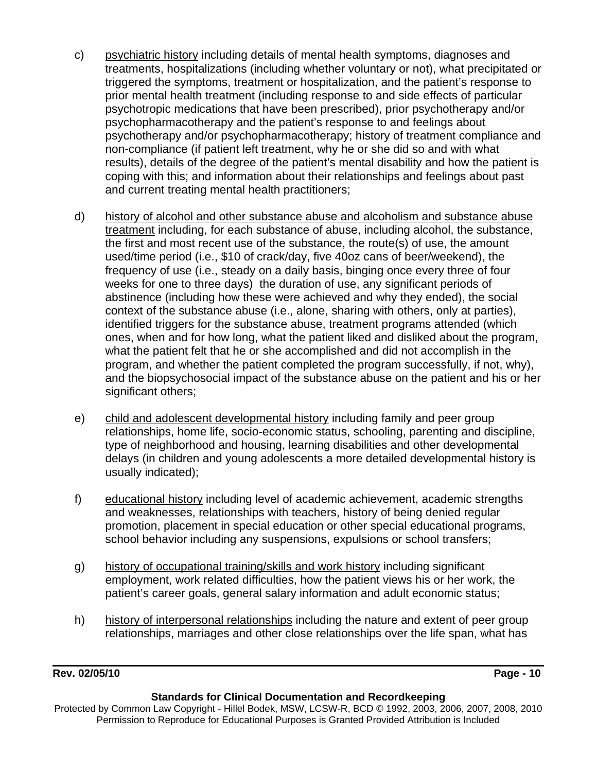- c) psychiatric history including details of mental health symptoms, diagnoses and treatments, hospitalizations (including whether voluntary or not), what precipitated or triggered the symptoms, treatment or hospitalization, and the patient's response to prior mental health treatment (including response to and side effects of particular psychotropic medications that have been prescribed), prior psychotherapy and/or psychopharmacotherapy and the patient's response to and feelings about psychotherapy and/or psychopharmacotherapy; history of treatment compliance and non-compliance (if patient left treatment, why he or she did so and with what results), details of the degree of the patient's mental disability and how the patient is coping with this; and information about their relationships and feelings about past and current treating mental health practitioners;
- d) history of alcohol and other substance abuse and alcoholism and substance abuse treatment including, for each substance of abuse, including alcohol, the substance, the first and most recent use of the substance, the route(s) of use, the amount used/time period (i.e., \$10 of crack/day, five 40oz cans of beer/weekend), the frequency of use (i.e., steady on a daily basis, binging once every three of four weeks for one to three days) the duration of use, any significant periods of abstinence (including how these were achieved and why they ended), the social context of the substance abuse (i.e., alone, sharing with others, only at parties), identified triggers for the substance abuse, treatment programs attended (which ones, when and for how long, what the patient liked and disliked about the program, what the patient felt that he or she accomplished and did not accomplish in the program, and whether the patient completed the program successfully, if not, why), and the biopsychosocial impact of the substance abuse on the patient and his or her significant others;
- e) child and adolescent developmental history including family and peer group relationships, home life, socio-economic status, schooling, parenting and discipline, type of neighborhood and housing, learning disabilities and other developmental delays (in children and young adolescents a more detailed developmental history is usually indicated);
- f) educational history including level of academic achievement, academic strengths and weaknesses, relationships with teachers, history of being denied regular promotion, placement in special education or other special educational programs, school behavior including any suspensions, expulsions or school transfers;
- g) history of occupational training/skills and work history including significant employment, work related difficulties, how the patient views his or her work, the patient's career goals, general salary information and adult economic status;
- h) history of interpersonal relationships including the nature and extent of peer group relationships, marriages and other close relationships over the life span, what has

### **Rev. 02/05/10 Page - 10**

#### **Standards for Clinical Documentation and Recordkeeping**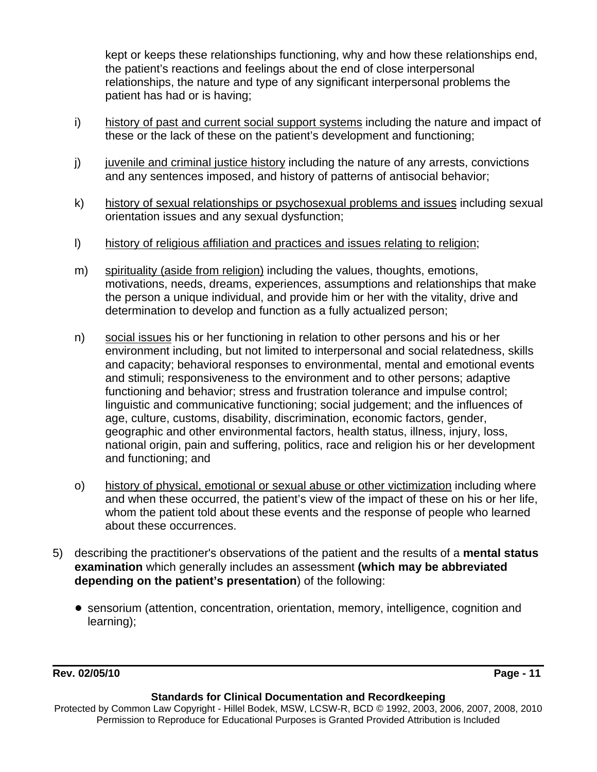kept or keeps these relationships functioning, why and how these relationships end, the patient's reactions and feelings about the end of close interpersonal relationships, the nature and type of any significant interpersonal problems the patient has had or is having;

- i) history of past and current social support systems including the nature and impact of these or the lack of these on the patient's development and functioning;
- $j$  juvenile and criminal justice history including the nature of any arrests, convictions and any sentences imposed, and history of patterns of antisocial behavior;
- k) history of sexual relationships or psychosexual problems and issues including sexual orientation issues and any sexual dysfunction;
- l) history of religious affiliation and practices and issues relating to religion;
- m) spirituality (aside from religion) including the values, thoughts, emotions, motivations, needs, dreams, experiences, assumptions and relationships that make the person a unique individual, and provide him or her with the vitality, drive and determination to develop and function as a fully actualized person;
- n) social issues his or her functioning in relation to other persons and his or her environment including, but not limited to interpersonal and social relatedness, skills and capacity; behavioral responses to environmental, mental and emotional events and stimuli; responsiveness to the environment and to other persons; adaptive functioning and behavior; stress and frustration tolerance and impulse control; linguistic and communicative functioning; social judgement; and the influences of age, culture, customs, disability, discrimination, economic factors, gender, geographic and other environmental factors, health status, illness, injury, loss, national origin, pain and suffering, politics, race and religion his or her development and functioning; and
- o) history of physical, emotional or sexual abuse or other victimization including where and when these occurred, the patient's view of the impact of these on his or her life, whom the patient told about these events and the response of people who learned about these occurrences.
- 5) describing the practitioner's observations of the patient and the results of a **mental status examination** which generally includes an assessment **(which may be abbreviated depending on the patient's presentation**) of the following:
	- ! sensorium (attention, concentration, orientation, memory, intelligence, cognition and learning);

**Rev. 02/05/10** Page - 11

### **Standards for Clinical Documentation and Recordkeeping**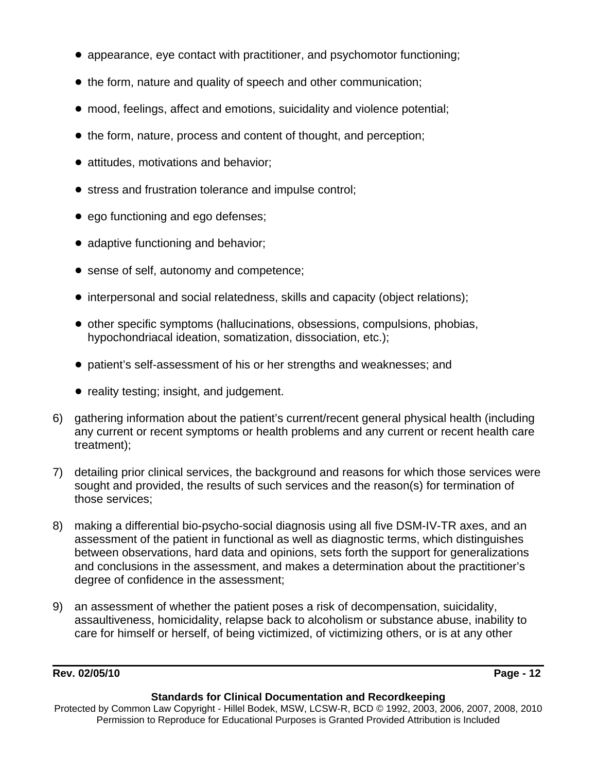- appearance, eye contact with practitioner, and psychomotor functioning;
- the form, nature and quality of speech and other communication;
- ! mood, feelings, affect and emotions, suicidality and violence potential;
- the form, nature, process and content of thought, and perception;
- attitudes, motivations and behavior;
- **•** stress and frustration tolerance and impulse control;
- ego functioning and ego defenses;
- adaptive functioning and behavior;
- sense of self, autonomy and competence;
- ! interpersonal and social relatedness, skills and capacity (object relations);
- ! other specific symptoms (hallucinations, obsessions, compulsions, phobias, hypochondriacal ideation, somatization, dissociation, etc.);
- ! patient's self-assessment of his or her strengths and weaknesses; and
- reality testing; insight, and judgement.
- 6) gathering information about the patient's current/recent general physical health (including any current or recent symptoms or health problems and any current or recent health care treatment);
- 7) detailing prior clinical services, the background and reasons for which those services were sought and provided, the results of such services and the reason(s) for termination of those services;
- 8) making a differential bio-psycho-social diagnosis using all five DSM-IV-TR axes, and an assessment of the patient in functional as well as diagnostic terms, which distinguishes between observations, hard data and opinions, sets forth the support for generalizations and conclusions in the assessment, and makes a determination about the practitioner's degree of confidence in the assessment;
- 9) an assessment of whether the patient poses a risk of decompensation, suicidality, assaultiveness, homicidality, relapse back to alcoholism or substance abuse, inability to care for himself or herself, of being victimized, of victimizing others, or is at any other

### **Rev. 02/05/10 Page - 12**

#### **Standards for Clinical Documentation and Recordkeeping**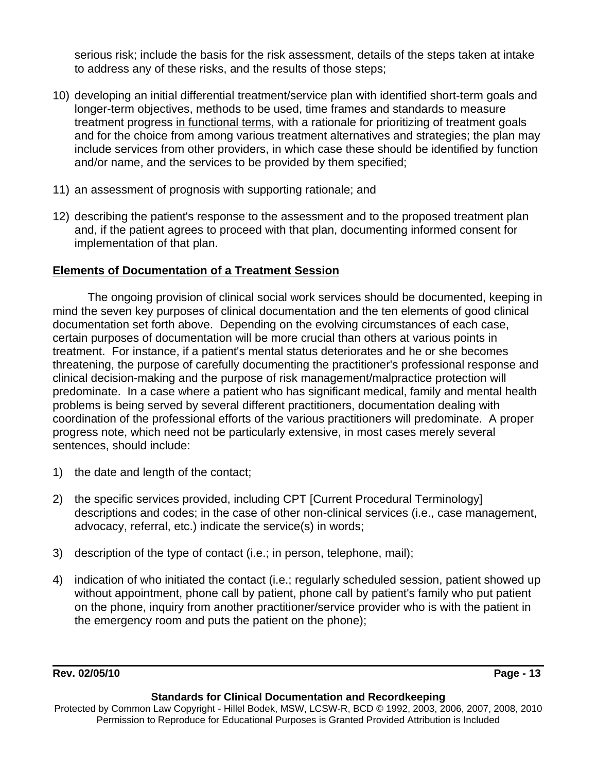serious risk; include the basis for the risk assessment, details of the steps taken at intake to address any of these risks, and the results of those steps;

- 10) developing an initial differential treatment/service plan with identified short-term goals and longer-term objectives, methods to be used, time frames and standards to measure treatment progress in functional terms, with a rationale for prioritizing of treatment goals and for the choice from among various treatment alternatives and strategies; the plan may include services from other providers, in which case these should be identified by function and/or name, and the services to be provided by them specified;
- 11) an assessment of prognosis with supporting rationale; and
- 12) describing the patient's response to the assessment and to the proposed treatment plan and, if the patient agrees to proceed with that plan, documenting informed consent for implementation of that plan.

# **Elements of Documentation of a Treatment Session**

The ongoing provision of clinical social work services should be documented, keeping in mind the seven key purposes of clinical documentation and the ten elements of good clinical documentation set forth above. Depending on the evolving circumstances of each case, certain purposes of documentation will be more crucial than others at various points in treatment. For instance, if a patient's mental status deteriorates and he or she becomes threatening, the purpose of carefully documenting the practitioner's professional response and clinical decision-making and the purpose of risk management/malpractice protection will predominate. In a case where a patient who has significant medical, family and mental health problems is being served by several different practitioners, documentation dealing with coordination of the professional efforts of the various practitioners will predominate. A proper progress note, which need not be particularly extensive, in most cases merely several sentences, should include:

- 1) the date and length of the contact;
- 2) the specific services provided, including CPT [Current Procedural Terminology] descriptions and codes; in the case of other non-clinical services (i.e., case management, advocacy, referral, etc.) indicate the service(s) in words;
- 3) description of the type of contact (i.e.; in person, telephone, mail);
- 4) indication of who initiated the contact (i.e.; regularly scheduled session, patient showed up without appointment, phone call by patient, phone call by patient's family who put patient on the phone, inquiry from another practitioner/service provider who is with the patient in the emergency room and puts the patient on the phone);

**Rev. 02/05/10 Page - 13** 

### **Standards for Clinical Documentation and Recordkeeping**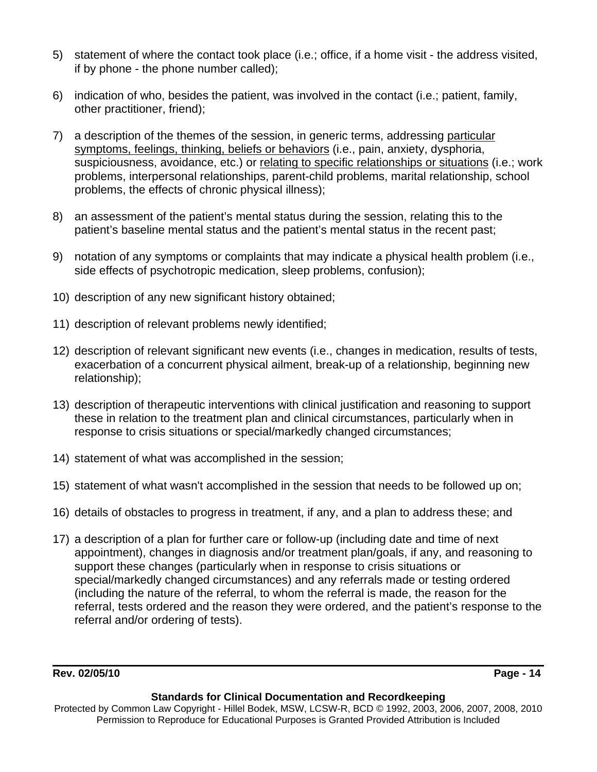- 5) statement of where the contact took place (i.e.; office, if a home visit the address visited, if by phone - the phone number called);
- 6) indication of who, besides the patient, was involved in the contact (i.e.; patient, family, other practitioner, friend);
- 7) a description of the themes of the session, in generic terms, addressing particular symptoms, feelings, thinking, beliefs or behaviors (i.e., pain, anxiety, dysphoria, suspiciousness, avoidance, etc.) or relating to specific relationships or situations (i.e.; work problems, interpersonal relationships, parent-child problems, marital relationship, school problems, the effects of chronic physical illness);
- 8) an assessment of the patient's mental status during the session, relating this to the patient's baseline mental status and the patient's mental status in the recent past;
- 9) notation of any symptoms or complaints that may indicate a physical health problem (i.e., side effects of psychotropic medication, sleep problems, confusion);
- 10) description of any new significant history obtained;
- 11) description of relevant problems newly identified;
- 12) description of relevant significant new events (i.e., changes in medication, results of tests, exacerbation of a concurrent physical ailment, break-up of a relationship, beginning new relationship);
- 13) description of therapeutic interventions with clinical justification and reasoning to support these in relation to the treatment plan and clinical circumstances, particularly when in response to crisis situations or special/markedly changed circumstances;
- 14) statement of what was accomplished in the session;
- 15) statement of what wasn't accomplished in the session that needs to be followed up on;
- 16) details of obstacles to progress in treatment, if any, and a plan to address these; and
- 17) a description of a plan for further care or follow-up (including date and time of next appointment), changes in diagnosis and/or treatment plan/goals, if any, and reasoning to support these changes (particularly when in response to crisis situations or special/markedly changed circumstances) and any referrals made or testing ordered (including the nature of the referral, to whom the referral is made, the reason for the referral, tests ordered and the reason they were ordered, and the patient's response to the referral and/or ordering of tests).

**Rev. 02/05/10 Page - 14** 

### **Standards for Clinical Documentation and Recordkeeping**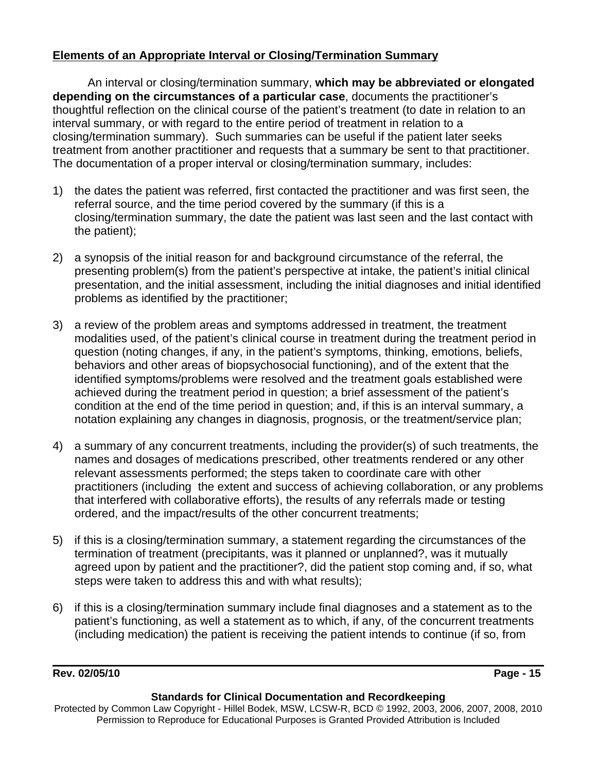# **Elements of an Appropriate Interval or Closing/Termination Summary**

An interval or closing/termination summary, **which may be abbreviated or elongated depending on the circumstances of a particular case**, documents the practitioner's thoughtful reflection on the clinical course of the patient's treatment (to date in relation to an interval summary, or with regard to the entire period of treatment in relation to a closing/termination summary). Such summaries can be useful if the patient later seeks treatment from another practitioner and requests that a summary be sent to that practitioner. The documentation of a proper interval or closing/termination summary, includes:

- 1) the dates the patient was referred, first contacted the practitioner and was first seen, the referral source, and the time period covered by the summary (if this is a closing/termination summary, the date the patient was last seen and the last contact with the patient);
- 2) a synopsis of the initial reason for and background circumstance of the referral, the presenting problem(s) from the patient's perspective at intake, the patient's initial clinical presentation, and the initial assessment, including the initial diagnoses and initial identified problems as identified by the practitioner;
- 3) a review of the problem areas and symptoms addressed in treatment, the treatment modalities used, of the patient's clinical course in treatment during the treatment period in question (noting changes, if any, in the patient's symptoms, thinking, emotions, beliefs, behaviors and other areas of biopsychosocial functioning), and of the extent that the identified symptoms/problems were resolved and the treatment goals established were achieved during the treatment period in question; a brief assessment of the patient's condition at the end of the time period in question; and, if this is an interval summary, a notation explaining any changes in diagnosis, prognosis, or the treatment/service plan;
- 4) a summary of any concurrent treatments, including the provider(s) of such treatments, the names and dosages of medications prescribed, other treatments rendered or any other relevant assessments performed; the steps taken to coordinate care with other practitioners (including the extent and success of achieving collaboration, or any problems that interfered with collaborative efforts), the results of any referrals made or testing ordered, and the impact/results of the other concurrent treatments;
- 5) if this is a closing/termination summary, a statement regarding the circumstances of the termination of treatment (precipitants, was it planned or unplanned?, was it mutually agreed upon by patient and the practitioner?, did the patient stop coming and, if so, what steps were taken to address this and with what results);
- 6) if this is a closing/termination summary include final diagnoses and a statement as to the patient's functioning, as well a statement as to which, if any, of the concurrent treatments (including medication) the patient is receiving the patient intends to continue (if so, from

# **Rev. 02/05/10 Page - 15**

### **Standards for Clinical Documentation and Recordkeeping**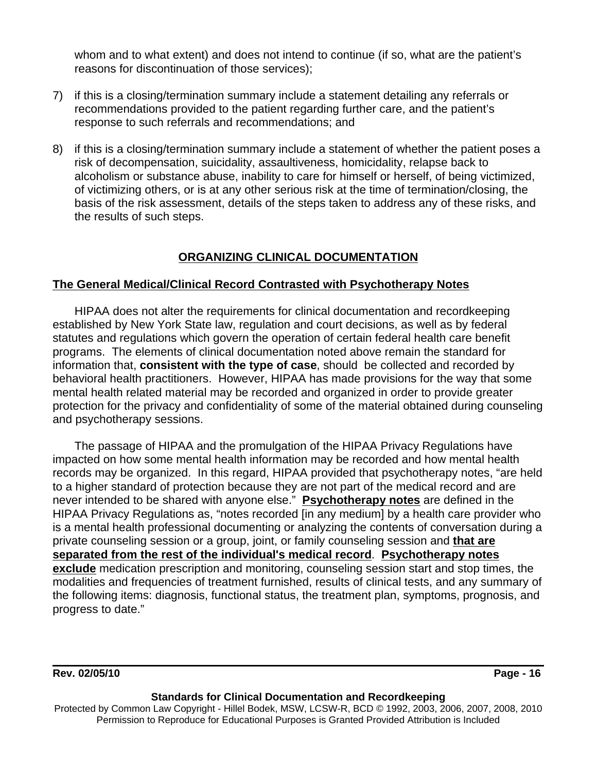whom and to what extent) and does not intend to continue (if so, what are the patient's reasons for discontinuation of those services);

- 7) if this is a closing/termination summary include a statement detailing any referrals or recommendations provided to the patient regarding further care, and the patient's response to such referrals and recommendations; and
- 8) if this is a closing/termination summary include a statement of whether the patient poses a risk of decompensation, suicidality, assaultiveness, homicidality, relapse back to alcoholism or substance abuse, inability to care for himself or herself, of being victimized, of victimizing others, or is at any other serious risk at the time of termination/closing, the basis of the risk assessment, details of the steps taken to address any of these risks, and the results of such steps.

# **ORGANIZING CLINICAL DOCUMENTATION**

# **The General Medical/Clinical Record Contrasted with Psychotherapy Notes**

HIPAA does not alter the requirements for clinical documentation and recordkeeping established by New York State law, regulation and court decisions, as well as by federal statutes and regulations which govern the operation of certain federal health care benefit programs. The elements of clinical documentation noted above remain the standard for information that, **consistent with the type of case**, should be collected and recorded by behavioral health practitioners. However, HIPAA has made provisions for the way that some mental health related material may be recorded and organized in order to provide greater protection for the privacy and confidentiality of some of the material obtained during counseling and psychotherapy sessions.

The passage of HIPAA and the promulgation of the HIPAA Privacy Regulations have impacted on how some mental health information may be recorded and how mental health records may be organized. In this regard, HIPAA provided that psychotherapy notes, "are held to a higher standard of protection because they are not part of the medical record and are never intended to be shared with anyone else." **Psychotherapy notes** are defined in the HIPAA Privacy Regulations as, "notes recorded [in any medium] by a health care provider who is a mental health professional documenting or analyzing the contents of conversation during a private counseling session or a group, joint, or family counseling session and **that are separated from the rest of the individual's medical record**. **Psychotherapy notes exclude** medication prescription and monitoring, counseling session start and stop times, the modalities and frequencies of treatment furnished, results of clinical tests, and any summary of the following items: diagnosis, functional status, the treatment plan, symptoms, prognosis, and progress to date."

**Rev. 02/05/10 Page - 16** 

### **Standards for Clinical Documentation and Recordkeeping**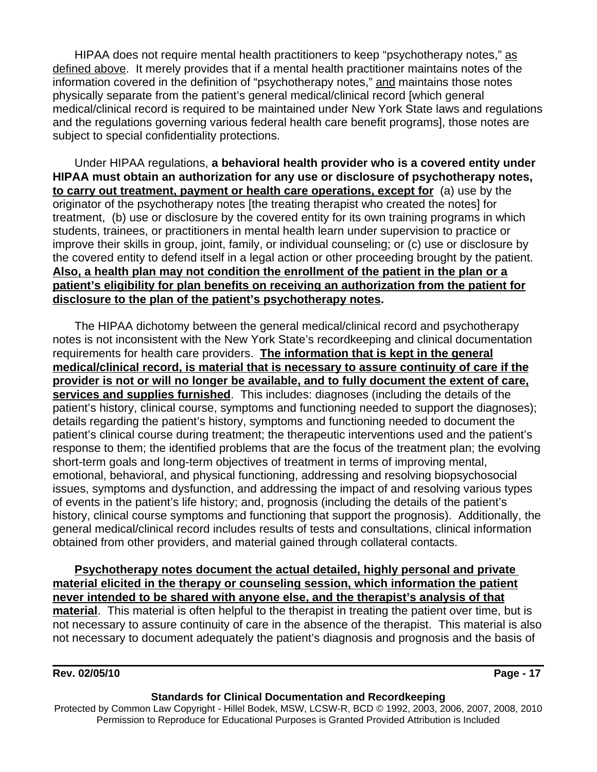HIPAA does not require mental health practitioners to keep "psychotherapy notes," as defined above. It merely provides that if a mental health practitioner maintains notes of the information covered in the definition of "psychotherapy notes," and maintains those notes physically separate from the patient's general medical/clinical record [which general medical/clinical record is required to be maintained under New York State laws and regulations and the regulations governing various federal health care benefit programs], those notes are subject to special confidentiality protections.

Under HIPAA regulations, **a behavioral health provider who is a covered entity under HIPAA must obtain an authorization for any use or disclosure of psychotherapy notes, to carry out treatment, payment or health care operations, except for** (a) use by the originator of the psychotherapy notes [the treating therapist who created the notes] for treatment, (b) use or disclosure by the covered entity for its own training programs in which students, trainees, or practitioners in mental health learn under supervision to practice or improve their skills in group, joint, family, or individual counseling; or (c) use or disclosure by the covered entity to defend itself in a legal action or other proceeding brought by the patient. **Also, a health plan may not condition the enrollment of the patient in the plan or a patient's eligibility for plan benefits on receiving an authorization from the patient for disclosure to the plan of the patient's psychotherapy notes.**

The HIPAA dichotomy between the general medical/clinical record and psychotherapy notes is not inconsistent with the New York State's recordkeeping and clinical documentation requirements for health care providers. **The information that is kept in the general medical/clinical record, is material that is necessary to assure continuity of care if the provider is not or will no longer be available, and to fully document the extent of care, services and supplies furnished**. This includes: diagnoses (including the details of the patient's history, clinical course, symptoms and functioning needed to support the diagnoses); details regarding the patient's history, symptoms and functioning needed to document the patient's clinical course during treatment; the therapeutic interventions used and the patient's response to them; the identified problems that are the focus of the treatment plan; the evolving short-term goals and long-term objectives of treatment in terms of improving mental, emotional, behavioral, and physical functioning, addressing and resolving biopsychosocial issues, symptoms and dysfunction, and addressing the impact of and resolving various types of events in the patient's life history; and, prognosis (including the details of the patient's history, clinical course symptoms and functioning that support the prognosis). Additionally, the general medical/clinical record includes results of tests and consultations, clinical information obtained from other providers, and material gained through collateral contacts.

**Psychotherapy notes document the actual detailed, highly personal and private material elicited in the therapy or counseling session, which information the patient never intended to be shared with anyone else, and the therapist's analysis of that material**. This material is often helpful to the therapist in treating the patient over time, but is not necessary to assure continuity of care in the absence of the therapist. This material is also not necessary to document adequately the patient's diagnosis and prognosis and the basis of

**Rev. 02/05/10 Page - 17** 

#### **Standards for Clinical Documentation and Recordkeeping**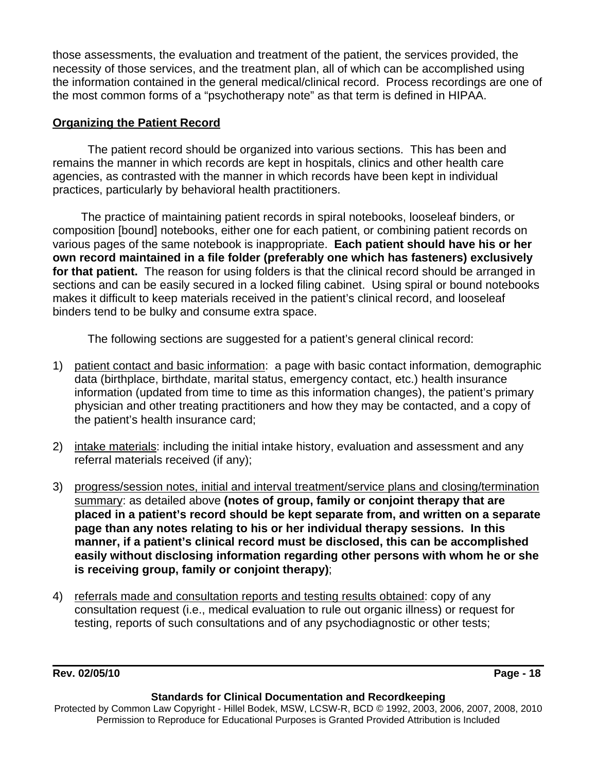those assessments, the evaluation and treatment of the patient, the services provided, the necessity of those services, and the treatment plan, all of which can be accomplished using the information contained in the general medical/clinical record. Process recordings are one of the most common forms of a "psychotherapy note" as that term is defined in HIPAA.

# **Organizing the Patient Record**

The patient record should be organized into various sections. This has been and remains the manner in which records are kept in hospitals, clinics and other health care agencies, as contrasted with the manner in which records have been kept in individual practices, particularly by behavioral health practitioners.

 The practice of maintaining patient records in spiral notebooks, looseleaf binders, or composition [bound] notebooks, either one for each patient, or combining patient records on various pages of the same notebook is inappropriate. **Each patient should have his or her own record maintained in a file folder (preferably one which has fasteners) exclusively for that patient.** The reason for using folders is that the clinical record should be arranged in sections and can be easily secured in a locked filing cabinet. Using spiral or bound notebooks makes it difficult to keep materials received in the patient's clinical record, and looseleaf binders tend to be bulky and consume extra space.

The following sections are suggested for a patient's general clinical record:

- 1) patient contact and basic information: a page with basic contact information, demographic data (birthplace, birthdate, marital status, emergency contact, etc.) health insurance information (updated from time to time as this information changes), the patient's primary physician and other treating practitioners and how they may be contacted, and a copy of the patient's health insurance card;
- 2) intake materials: including the initial intake history, evaluation and assessment and any referral materials received (if any);
- 3) progress/session notes, initial and interval treatment/service plans and closing/termination summary: as detailed above **(notes of group, family or conjoint therapy that are placed in a patient's record should be kept separate from, and written on a separate page than any notes relating to his or her individual therapy sessions. In this manner, if a patient's clinical record must be disclosed, this can be accomplished easily without disclosing information regarding other persons with whom he or she is receiving group, family or conjoint therapy)**;
- 4) referrals made and consultation reports and testing results obtained: copy of any consultation request (i.e., medical evaluation to rule out organic illness) or request for testing, reports of such consultations and of any psychodiagnostic or other tests;

**Rev. 02/05/10 Page - 18** 

#### **Standards for Clinical Documentation and Recordkeeping**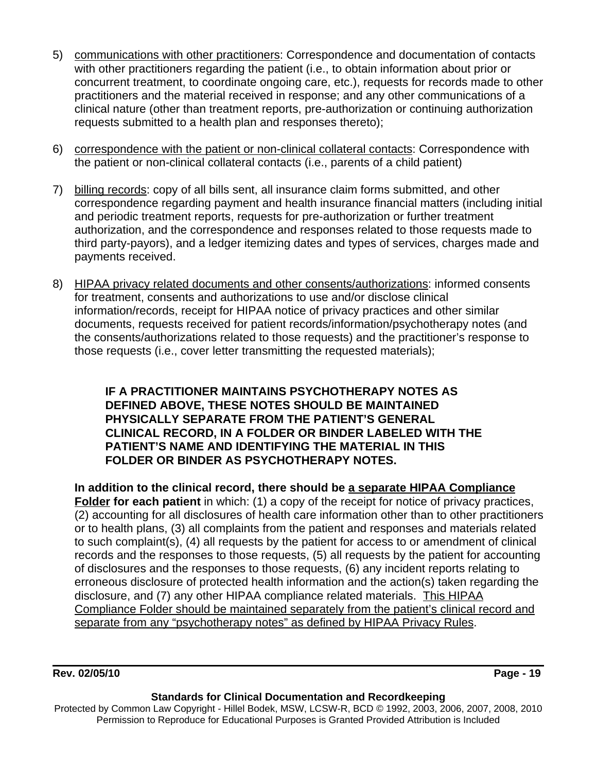- 5) communications with other practitioners: Correspondence and documentation of contacts with other practitioners regarding the patient (i.e., to obtain information about prior or concurrent treatment, to coordinate ongoing care, etc.), requests for records made to other practitioners and the material received in response; and any other communications of a clinical nature (other than treatment reports, pre-authorization or continuing authorization requests submitted to a health plan and responses thereto);
- 6) correspondence with the patient or non-clinical collateral contacts: Correspondence with the patient or non-clinical collateral contacts (i.e., parents of a child patient)
- 7) billing records: copy of all bills sent, all insurance claim forms submitted, and other correspondence regarding payment and health insurance financial matters (including initial and periodic treatment reports, requests for pre-authorization or further treatment authorization, and the correspondence and responses related to those requests made to third party-payors), and a ledger itemizing dates and types of services, charges made and payments received.
- 8) HIPAA privacy related documents and other consents/authorizations: informed consents for treatment, consents and authorizations to use and/or disclose clinical information/records, receipt for HIPAA notice of privacy practices and other similar documents, requests received for patient records/information/psychotherapy notes (and the consents/authorizations related to those requests) and the practitioner's response to those requests (i.e., cover letter transmitting the requested materials);

**IF A PRACTITIONER MAINTAINS PSYCHOTHERAPY NOTES AS DEFINED ABOVE, THESE NOTES SHOULD BE MAINTAINED PHYSICALLY SEPARATE FROM THE PATIENT'S GENERAL CLINICAL RECORD, IN A FOLDER OR BINDER LABELED WITH THE PATIENT'S NAME AND IDENTIFYING THE MATERIAL IN THIS FOLDER OR BINDER AS PSYCHOTHERAPY NOTES.**

**In addition to the clinical record, there should be a separate HIPAA Compliance** Folder for each patient in which: (1) a copy of the receipt for notice of privacy practices, (2) accounting for all disclosures of health care information other than to other practitioners or to health plans, (3) all complaints from the patient and responses and materials related to such complaint(s), (4) all requests by the patient for access to or amendment of clinical records and the responses to those requests, (5) all requests by the patient for accounting of disclosures and the responses to those requests, (6) any incident reports relating to erroneous disclosure of protected health information and the action(s) taken regarding the disclosure, and (7) any other HIPAA compliance related materials. This HIPAA Compliance Folder should be maintained separately from the patient's clinical record and separate from any "psychotherapy notes" as defined by HIPAA Privacy Rules.

**Rev. 02/05/10 Page - 19** 

### **Standards for Clinical Documentation and Recordkeeping**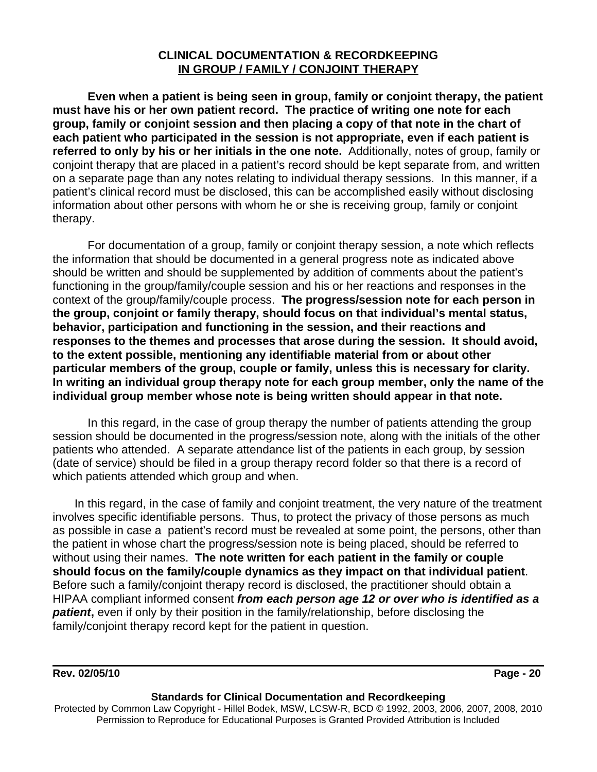### **CLINICAL DOCUMENTATION & RECORDKEEPING IN GROUP / FAMILY / CONJOINT THERAPY**

**Even when a patient is being seen in group, family or conjoint therapy, the patient must have his or her own patient record. The practice of writing one note for each group, family or conjoint session and then placing a copy of that note in the chart of each patient who participated in the session is not appropriate, even if each patient is referred to only by his or her initials in the one note.** Additionally, notes of group, family or conjoint therapy that are placed in a patient's record should be kept separate from, and written on a separate page than any notes relating to individual therapy sessions. In this manner, if a patient's clinical record must be disclosed, this can be accomplished easily without disclosing information about other persons with whom he or she is receiving group, family or conjoint therapy.

For documentation of a group, family or conjoint therapy session, a note which reflects the information that should be documented in a general progress note as indicated above should be written and should be supplemented by addition of comments about the patient's functioning in the group/family/couple session and his or her reactions and responses in the context of the group/family/couple process. **The progress/session note for each person in the group, conjoint or family therapy, should focus on that individual's mental status, behavior, participation and functioning in the session, and their reactions and responses to the themes and processes that arose during the session. It should avoid, to the extent possible, mentioning any identifiable material from or about other particular members of the group, couple or family, unless this is necessary for clarity. In writing an individual group therapy note for each group member, only the name of the individual group member whose note is being written should appear in that note.** 

In this regard, in the case of group therapy the number of patients attending the group session should be documented in the progress/session note, along with the initials of the other patients who attended. A separate attendance list of the patients in each group, by session (date of service) should be filed in a group therapy record folder so that there is a record of which patients attended which group and when.

In this regard, in the case of family and conjoint treatment, the very nature of the treatment involves specific identifiable persons. Thus, to protect the privacy of those persons as much as possible in case a patient's record must be revealed at some point, the persons, other than the patient in whose chart the progress/session note is being placed, should be referred to without using their names. **The note written for each patient in the family or couple should focus on the family/couple dynamics as they impact on that individual patient**. Before such a family/conjoint therapy record is disclosed, the practitioner should obtain a HIPAA compliant informed consent *from each person age 12 or over who is identified as a* **patient**, even if only by their position in the family/relationship, before disclosing the family/conjoint therapy record kept for the patient in question.

### **Rev. 02/05/10 Page - 20**

#### **Standards for Clinical Documentation and Recordkeeping**